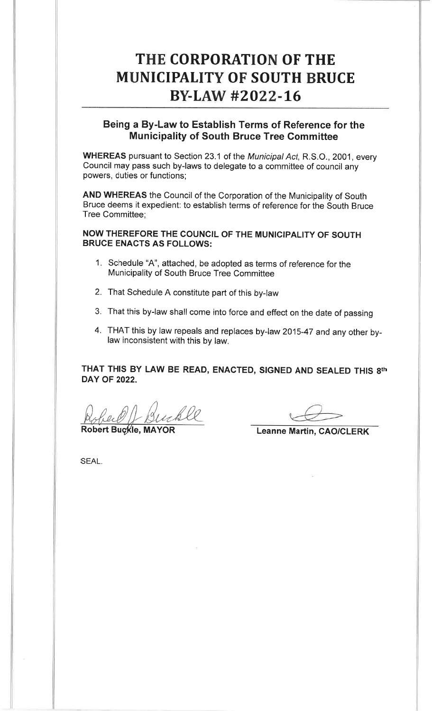# THE CORPORATION OF THEMUNICIPALITY OF SOUTH BRUCE BY-LAW #2022-16

# Being a By-Law to Establish Terms of Reference for theMunicipality of South Bruce Tree Committee

WHEREAS pursuant to Section 23.1 of the Municipal Act, R.S.O., 2001, every council may pass such by-laws to delegate to a committee of council anypowers, duties or functions;

AND WHEREAS the Council of the Corporation of the Municipality of South Bruce deems it expedient: to establish terms of reference for the South BruceTree Committee;

NOW THEREFORE THE COUNCIL OF THE MUNICIPALITY OF SOUTHBRUCE ENACTS AS FOLLOWS:

- 1. Schedule "A", attached, be adopted as terms of reference for theMunicipality of South Bruce Tree Committee
- 2. That Schedule A constitute part of this by-law
- 3. That this by-law shall come into force and effect on the date of passing
- 4. THAT this by law repeals and replaces by-law 201s-47 and any other bylaw inconsistent with this by law.

THAT THIS BY LAW BE READ, ENACTED, SIGNED AND SEALED THIS 8thDAY OF 2022.

Robert Buckle

Robert Buckle, MAYOR

Leanne Martin, CAO/CLERK

SEAL.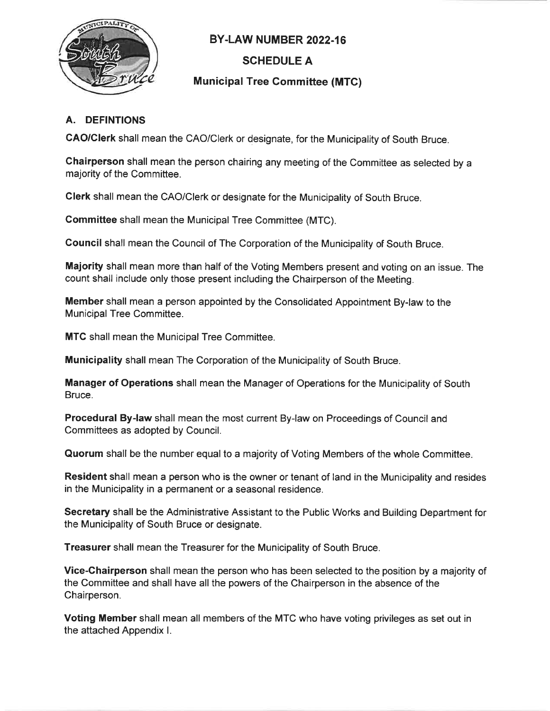

# BY.LAW NUMBER 2022.16

# SCHEDULE A

## Municipal Tree Gommittee (MTC)

## A. DEFINTIONS

GAO/Clerk shall mean the CAO/Clerk or designate, for the Municipality of South Bruce.

Chairperson shall mean the person chairing any meeting of the Committee as selected by amajority of the Committee.

Clerk shall mean the CAO/Clerk or designate for the Municipality of South Bruce.

Committee shall mean the Municipal Tree Committee (MTC).

Council shall mean the Council of The Corporation of the Municipality of South Bruce.

Majority shall mean more than half of the Voting Members present and voting on an issue. Thecount shall include only those present including the Chairperson of the Meeting.

Member shall mean a person appointed by the Consolidated Appointment By-law to theMunicipal Tree Committee.

**MTC** shall mean the Municipal Tree Committee.

Municipality shall mean The Corporation of the Municipality of South Bruce.

Manager of Operations shall mean the Manager of Operations for the Municipality of SouthBruce.

Procedural By-law shall mean the most current By-law on Proceedings of Council andCommittees as adopted by Council.

Quorum shall be the number equal to a majority of Voting Members of the whole Committee

Resident shall mean a person who is the owner or tenant of land in the Municipality and residesin the Municipality in a permanent or a seasonal residence.

Secretary shall be the Administrative Assistant to the Public Works and Building Department forthe Municipality of South Bruce or designate.

Treasurer shall mean the Treasurer for the Municipality of South Bruce.

Vice-Ghairperson shall mean the person who has been selected to the position by a majority ofthe Committee and shall have all the powers of the Chairperson in the absence of theChairperson.

Voting Member shall mean all members of the MTC who have voting privileges as set out inthe attached Appendix l.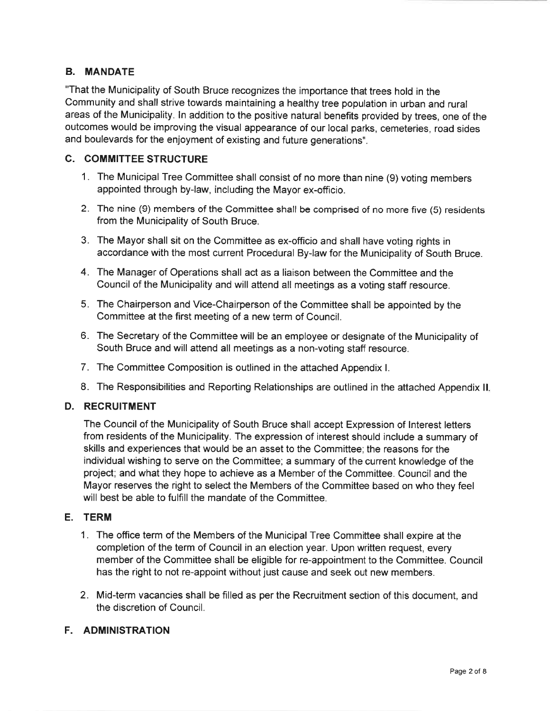#### B. MANDATE

"That the Municipality of South Bruce recognizes the importance that trees hold in the Community and shall strive towards maintaining a healthy tree population in urban and rural areas of the Municipality. ln addition to the positive natural benefits provided by trees, one of the outcomes would be improving the visual appearance of our local parks, cemeteries, road sidesand boulevards for the enjoyment of existing and future generations".

#### C. GOMMITTEE STRUCTURE

- 1. The Municipal Tree Committee shall consist of no more than nine (9) voting membersappointed through by-law, including the Mayor ex-officio.
- 2. The nine (9) members of the Gommittee shall be comprised of no more five (5) residentsfrom the Municipality of South Bruce.
- 3. The Mayor shall sit on the Committee as ex-officio and shall have voting rights inaccordance with the most current Procedural By-law for the Municipality of South Bruce.
- 4. The Manager of Operations shall act as a liaison between the Committee and theCouncil of the Municipality and will attend all meetings as a voting staff resource.
- 5. The Chairperson and Vice-Chairperson of the Committee shall be appointed by theCommittee at the first meeting of a new term of Council.
- 6. The Secretary of the Committee will be an employee or designate of the Municipality ofSouth Bruce and will attend all meetings as a non-voting staff resource.
- 7. The Committee Composition is outlined in the attached Appendix l.
- 8. The Responsibilities and Reporting Relationships are outlined in the attached Appendix ll

#### D. RECRUITMENT

The Council of the Municipality of South Bruce shall accept Expression of lnterest letters from residents of the Municipality. The expression of interest should include a summary ofskills and experiences that would be an asset to the Committee; the reasons for the individual wishing to serve on the Committee; a summary of the current knowledge of the project; and what they hope to achieve as a Member of the Committee. Council and the Mayor reserves the right to select the Members of the Committee based on who they feelwill best be able to fulfill the mandate of the Committee.

## E. TERM

- <sup>1</sup>. The office term of the Members of the Municipal Tree Committee shall expire at thecompletion of the term of Council in an election year. Upon written request, every member of the Committee shall be eligible for re-appointment to the Committee. Councilhas the right to not re-appoint without just cause and seek out new members.
- 2. Mid-term vacancies shall be filled as per the Recruitment section of this document, and the discretion of Council.

#### F. ADMINISTRATION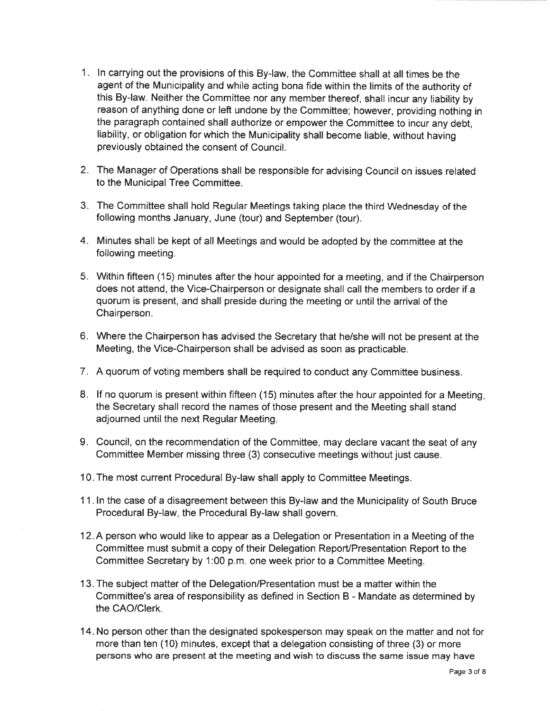- <sup>1</sup>. ln carrying out the provisions of this By-law, the Committee shall at all times be the agent of the Municipality and while acting bona fide within the limits of the authority of this By-law. Neither the Committee nor any member thereof, shall incur any liability by reason of anything done or left undone by the Committee; however, providing nothing inthe paragraph contained shall authorize or empower the Committee to incur any debt,liability, or obligation for which the Municipality shall become liable, without havingpreviously obtained the consent of Council.
- 2. The Manager of Operations shall be responsible for advising Council on issues relatedto the Municipal Tree Committee.
- 3. The Committee shall hold Regular Meetings taking place the third Wednesday of thefollowing months January, June (tour) and September (tour).
- 4. Minutes shall be kept of all Meetings and would be adopted by the committee at thefollowing meeting.
- 5. Within fifteen (15) minutes after the hour appointed for a meeting, and if the Chairperson does not attend, the Vice-Chairperson or designate shall call the members to order if aquorum is present, and shall preside during the meeting or until the arrival of theChairperson.
- 6. Where the Chairperson has advised the Secretary that he/she will not be present at theMeeting, the Vice-Chairperson shall be advised as soon as practicable.
- <sup>7</sup>. A quorum of voting members shall be required to conduct any Committee business
- 8. lf no quorum is present within fifteen (15) minutes after the hour appointed for a Meeting,the Secretary shall record the names of those present and the Meeting shall standadjourned until the next Regular Meeting.
- 9. Council, on the recommendation of the Committee, may declare vacant the seat of anyCommittee Member missing three (3) consecutive meetings without just cause.
- 10. The most current Procedural By-law shall apply to Committee Meetings.
- 1 1. ln the case of a disagreement between this By-law and the Municipality of South BruceProcedural By-law, the Procedural By-law shall govern.
- 1 2. A person who would like to appear as <sup>a</sup>Delegation or Presentation in a Meeting of the Committee must submit a copy of their Delegation ReporVPresentation Report to theCommittee Secretary by 1:00 p.m. one week prior to a Committee Meeting.
- 1 3. The subject matter of the Delegation/Presentation must be a matter within the Committee's area of responsibility as defined in Section B - Mandate as determined bythe CAO/Clerk.
- 14. No person other than the designated spokesperson may speak on the matter and not formore than ten (10) minutes, except that a delegation consisting of three (3) or morepersons who are present at the meeting and wish to discuss the same issue may have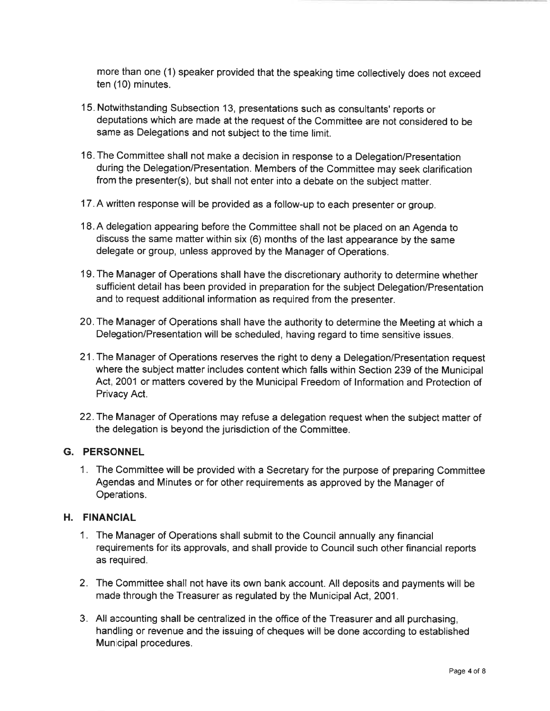more than one (1) speaker provided that the speaking time collectively does not exceedten (10) minutes.

- <sup>1</sup>5. Notwithstanding Subsection 13, presentations such as consultants' reports or deputations which are made at the request of the Committee are not considered to besame as Delegations and not subject to the time limit.
- 16. The Committee shall not make a decision in response to a Delegation/Presentation during the Delegation/Presentation. Members of the Committee may seek clarificationfrom the presenter(s), but shall not enter into a debate on the subject matter.
- 17. A written response will be provided as a follow-up to each presenter or group.
- 18.A delegation appearing before the Committee shall not be placed on an Agenda to discuss the same matter within six (6) months of the last appearance by the samedelegate or group, unless approved by the Manager of Operations.
- 19. The Manager of Operations shall have the discretionary authority to determine whethersufficient detail has been provided in preparation for the subject Delegation/Presentatio and to request additional information as required from the presenter.
- 20. The Manager of Operations shall have the authority to determine the Meeting at which aDelegation/Presentation will be scheduled, having regard to time sensitive issues.
- 21.The Manager of Operations reserves the right to deny a Delegation/Presentation request where the subject matter includes content which falls within Section 239 of the Municipal Act, 2001 or matters covered by the Municipal Freedom of lnformation and Protection ofPrivacy Act.
- 22.The Manager of Operations may refuse a delegation request when the subject matter ofthe delegation is beyond the jurisdiction of the Committee.

#### G. PERSONNEL

1. The Committee will be provided with a Secretary for the purpose of preparing CommitteeAgendas and Minutes or for other requirements as approved by the Manager ofOperations.

#### H. FINANCIAL

- 1. The Manager of Operations shall submit to the Council annually any financial requirements for its approvals, and shall provide to Council such other financial reportsas required.
- 2. The Committee shall not have its own bank account. All deposits and payments will bemade through the Treasurer as regulated by the Municipal Act, 2001.
- 3. All accounting shall be centralized in the office of the Treasurer and all purchasing,handling or revenue and the issuing of cheques will be done according to establishedMunicipal procedures.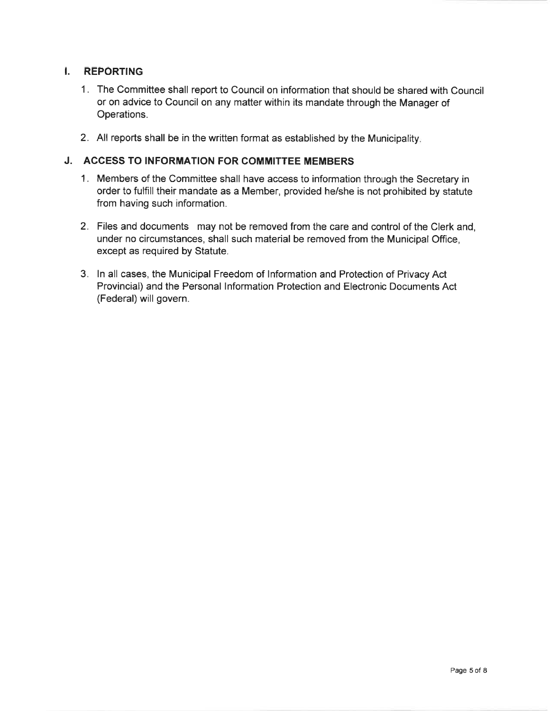### I. REPORTING

- 1. The Committee shall report to Council on information that should be shared with Counci or on advice to Council on any matter within its mandate through the Manager ofOperations.
- 2. All reports shall be in the written format as established by the Municipality

## J. ACCESS TO INFORMATION FOR COMMITTEE MEMBERS

- 1. Members of the Committee shall have access to information through the Secretary in order to fulfill their mandate as a Member, provided he/she is not prohibited by statutefrom having such information.
- 2. Files and documents may not be removed from the care and control of the Clerk and,under no circumstances, shall such material be removed from the Municipal Office,except as required by Statute.
- 3. ln all cases, the Municipal Freedom of lnformation and Protection of Privacy Act Provincial) and the Personal lnformation Protection and Electronic Documents Act(Federal) will govern.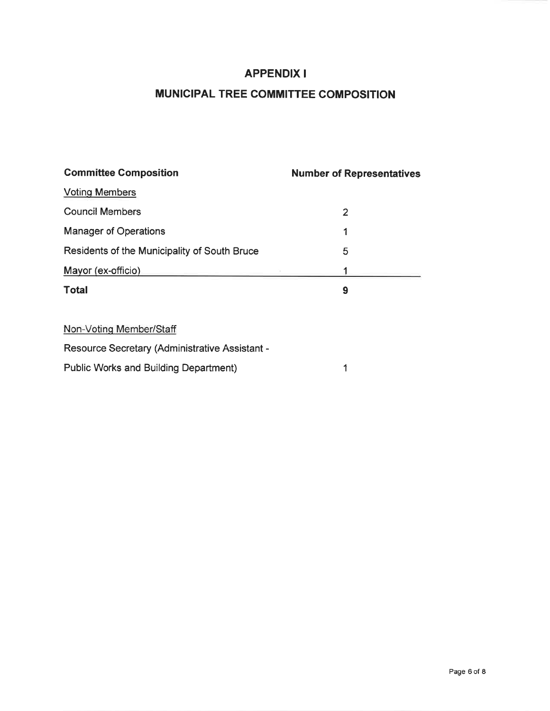# APPENDIX I

# MUNICIPAL TREE COMMITTEE COMPOSITION

| <b>Committee Composition</b>                 | <b>Number of Representatives</b> |
|----------------------------------------------|----------------------------------|
| <b>Voting Members</b>                        |                                  |
| <b>Council Members</b>                       | 2                                |
| <b>Manager of Operations</b>                 | 1                                |
| Residents of the Municipality of South Bruce | 5                                |
| Mayor (ex-officio)                           |                                  |
| <b>Total</b>                                 | 9                                |
|                                              |                                  |

Non-Votinq Member/Staff

Resource Secretary (Administrative Assistant -

Public Works and Building Department)1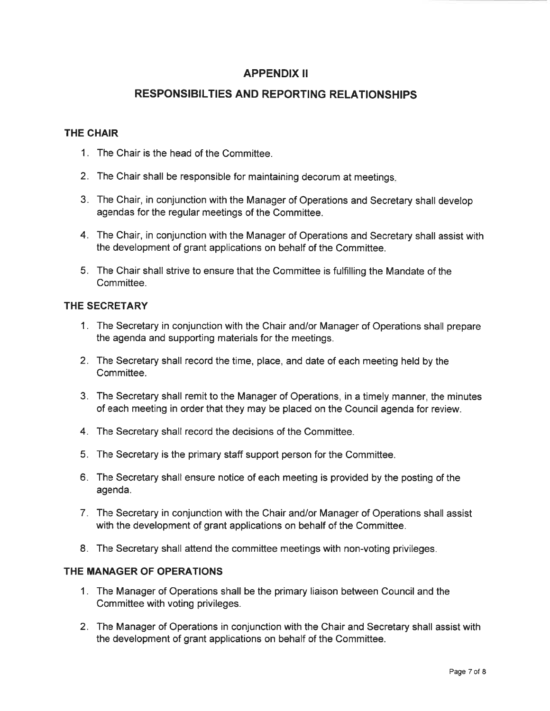# APPENDIX II

# RESPONSIBILTIES AND REPORTING RELATIONSHIPS

#### THE GHAIR

- <sup>1</sup>. The Chair is the head of the Committee.
- 2. The Chair shall be responsible for maintaining decorum at meetings
- 3. The Chair, in conjunction with the Manager of Operations and Secretary shall developagendas for the regular meetings of the Committee.
- 4. The Chair, in conjunction with the Manager of Operations and Secretary shall assist withthe development of grant applications on behalf of the Committee.
- 5. The Chair shall strive to ensure that the Committee is fulfilling the Mandate of theCommittee.

#### THE SECRETARY

- 1. The Secretary in conjunction with the Chair and/or Manager of Operations shall preparethe agenda and supporting materials for the meetings.
- 2. The Secretary shall record the time, place, and date of each meeting held by the**Committee.**
- 3. The Secretary shall remit to the Manager of Operations, in a timely manner, the minutesof each meeting in order that they may be placed on the Council agenda for review.
- 4. The Secretary shall record the decisions of the Committee.
- 5. The Secretary is the primary staff support person for the Committee.
- 6. The Secretary shall ensure notice of each meeting is provided by the posting of theagenda.
- <sup>7</sup>. The Secretary in conjunction with the Chair and/or Manager of Operations shall assistwith the development of grant applications on behalf of the Committee.
- 8. The Secretary shall attend the committee meetings with non-voting privileges.

#### THE MANAGER OF OPERATIONS

- 1. The Manager of Operations shall be the primary liaison between Council and theCommittee with voting privileges.
- 2. The Manager of Operations in conjunction with the Chair and Secretary shall assist withthe development of grant applications on behalf of the Committee.